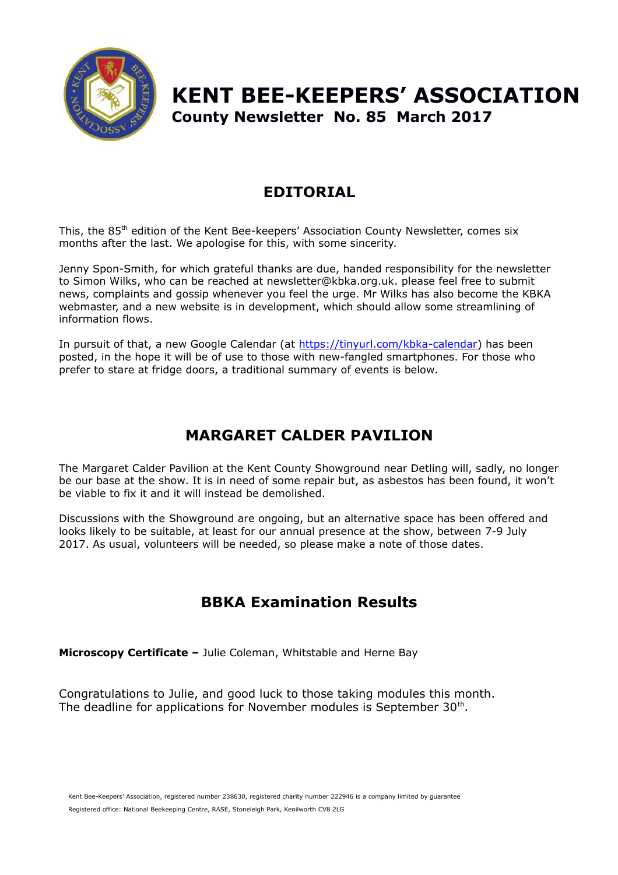

# **KENT BEE-KEEPERS' ASSOCIATION County Newsletter No. 85 March 2017**

## **EDITORIAL**

This, the 85<sup>th</sup> edition of the Kent Bee-keepers' Association County Newsletter, comes six months after the last. We apologise for this, with some sincerity.

Jenny Spon-Smith, for which grateful thanks are due, handed responsibility for the newsletter to Simon Wilks, who can be reached at [newsletter@kbka.org.uk.](mailto:newsletter@kbka.org.uk) please feel free to submit news, complaints and gossip whenever you feel the urge. Mr Wilks has also become the KBKA webmaster, and a new website is in development, which should allow some streamlining of information flows.

In pursuit of that, a new Google Calendar (at [https://tinyurl.com/kbka-calendar\)](https://tinyurl.com/kbka-calendar) has been posted, in the hope it will be of use to those with new-fangled smartphones. For those who prefer to stare at fridge doors, a traditional summary of events is below.

# **MARGARET CALDER PAVILION**

The Margaret Calder Pavilion at the Kent County Showground near Detling will, sadly, no longer be our base at the show. It is in need of some repair but, as asbestos has been found, it won't be viable to fix it and it will instead be demolished.

Discussions with the Showground are ongoing, but an alternative space has been offered and looks likely to be suitable, at least for our annual presence at the show, between 7-9 July 2017. As usual, volunteers will be needed, so please make a note of those dates.

### **BBKA Examination Results**

**Microscopy Certificate –** Julie Coleman, Whitstable and Herne Bay

Congratulations to Julie, and good luck to those taking modules this month. The deadline for applications for November modules is September  $30<sup>th</sup>$ .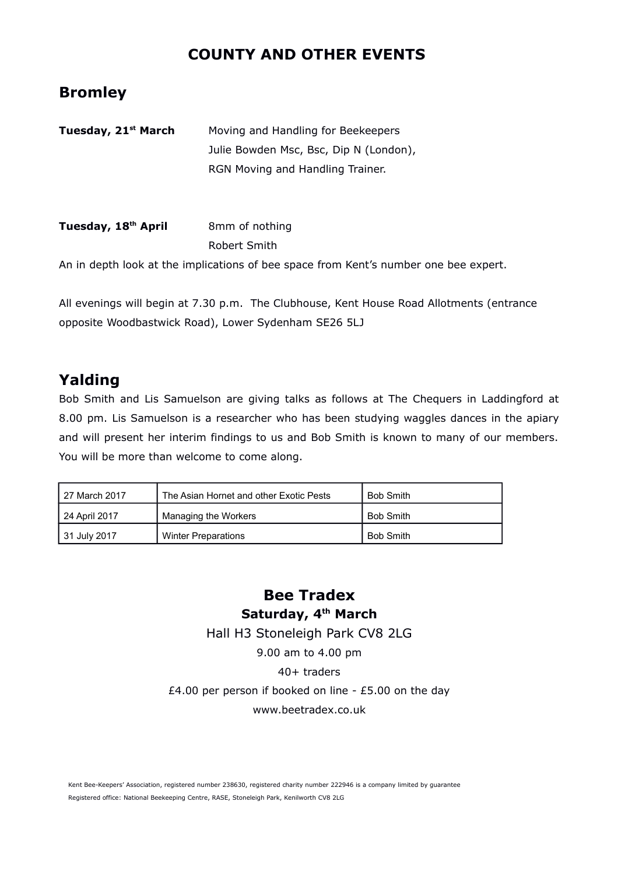### **COUNTY AND OTHER EVENTS**

### **Bromley**

| Tuesday, 21 <sup>st</sup> March | Moving and Handling for Beekeepers                                                   |  |  |  |
|---------------------------------|--------------------------------------------------------------------------------------|--|--|--|
|                                 | Julie Bowden Msc, Bsc, Dip N (London),<br>RGN Moving and Handling Trainer.           |  |  |  |
|                                 |                                                                                      |  |  |  |
|                                 |                                                                                      |  |  |  |
|                                 |                                                                                      |  |  |  |
| Tuesday, 18 <sup>th</sup> April | 8mm of nothing                                                                       |  |  |  |
|                                 | Robert Smith                                                                         |  |  |  |
|                                 | An in depth look at the implications of bee space from Kent's number one bee expert. |  |  |  |
|                                 |                                                                                      |  |  |  |

All evenings will begin at 7.30 p.m. The Clubhouse, Kent House Road Allotments (entrance opposite Woodbastwick Road), Lower Sydenham SE26 5LJ

### **Yalding**

Bob Smith and Lis Samuelson are giving talks as follows at The Chequers in Laddingford at 8.00 pm. Lis Samuelson is a researcher who has been studying waggles dances in the apiary and will present her interim findings to us and Bob Smith is known to many of our members. You will be more than welcome to come along.

| l 27 March 2017 | The Asian Hornet and other Exotic Pests | <b>Bob Smith</b> |
|-----------------|-----------------------------------------|------------------|
| 24 April 2017   | Managing the Workers                    | <b>Bob Smith</b> |
| 31 July 2017    | <b>Winter Preparations</b>              | <b>Bob Smith</b> |

### **Bee Tradex Saturday, 4th March**

Hall H3 Stoneleigh Park CV8 2LG

9.00 am to 4.00 pm

### 40+ traders

£4.00 per person if booked on line -  $£5.00$  on the day

www.beetradex.co.uk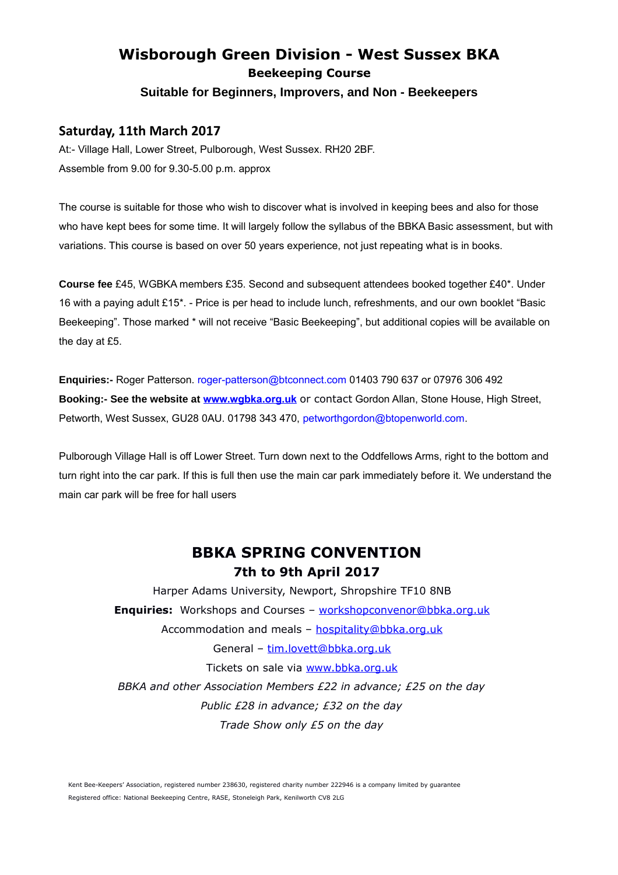## **Wisborough Green Division - West Sussex BKA Beekeeping Course**

### **Suitable for Beginners, Improvers, and Non - Beekeepers**

#### **Saturday, 11th March 2017**

At:- Village Hall, Lower Street, Pulborough, West Sussex. RH20 2BF. Assemble from 9.00 for 9.30-5.00 p.m. approx

The course is suitable for those who wish to discover what is involved in keeping bees and also for those who have kept bees for some time. It will largely follow the syllabus of the BBKA Basic assessment, but with variations. This course is based on over 50 years experience, not just repeating what is in books.

**Course fee** £45, WGBKA members £35. Second and subsequent attendees booked together £40\*. Under 16 with a paying adult £15\*. - Price is per head to include lunch, refreshments, and our own booklet "Basic Beekeeping". Those marked \* will not receive "Basic Beekeeping", but additional copies will be available on the day at £5.

**Enquiries:-** Roger Patterson. roger-patterson@btconnect.com 01403 790 637 or 07976 306 492 **Booking:- See the website at [www.wgbka.org.uk](http://www.wgbka.org.uk/)** or contact Gordon Allan, Stone House, High Street, Petworth, West Sussex, GU28 0AU. 01798 343 470, petworthgordon@btopenworld.com.

Pulborough Village Hall is off Lower Street. Turn down next to the Oddfellows Arms, right to the bottom and turn right into the car park. If this is full then use the main car park immediately before it. We understand the main car park will be free for hall users

### **BBKA SPRING CONVENTION 7th to 9th April 2017**

Harper Adams University, Newport, Shropshire TF10 8NB **Enquiries:** Workshops and Courses - [workshopconvenor@bbka.org.uk](mailto:workshopconvenor@bbka.org.uk) Accommodation and meals - [hospitality@bbka.org.uk](mailto:hospitality@bbka.org.uk) General – [tim.lovett@bbka.org.uk](mailto:tim.lovett@bbka.org.uk) Tickets on sale via [www.bbka.org.uk](http://www.bbka.org.uk/) *BBKA and other Association Members £22 in advance; £25 on the day Public £28 in advance; £32 on the day Trade Show only £5 on the day*